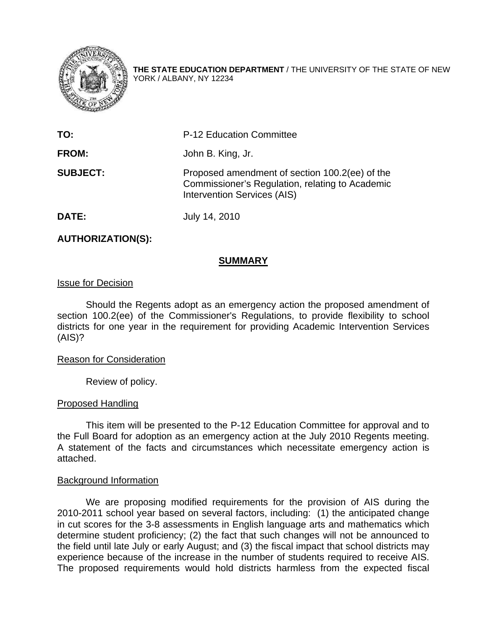

**THE STATE EDUCATION DEPARTMENT** / THE UNIVERSITY OF THE STATE OF NEW YORK / ALBANY, NY 12234

| TO:             | P-12 Education Committee                                                                                                         |
|-----------------|----------------------------------------------------------------------------------------------------------------------------------|
| <b>FROM:</b>    | John B. King, Jr.                                                                                                                |
| <b>SUBJECT:</b> | Proposed amendment of section 100.2(ee) of the<br>Commissioner's Regulation, relating to Academic<br>Intervention Services (AIS) |

**DATE:** July 14, 2010

## **AUTHORIZATION(S):**

#### **SUMMARY**

#### Issue for Decision

 Should the Regents adopt as an emergency action the proposed amendment of section 100.2(ee) of the Commissioner's Regulations, to provide flexibility to school districts for one year in the requirement for providing Academic Intervention Services (AIS)?

## Reason for Consideration

Review of policy.

## Proposed Handling

 This item will be presented to the P-12 Education Committee for approval and to the Full Board for adoption as an emergency action at the July 2010 Regents meeting. A statement of the facts and circumstances which necessitate emergency action is attached.

## Background Information

 We are proposing modified requirements for the provision of AIS during the 2010-2011 school year based on several factors, including: (1) the anticipated change in cut scores for the 3-8 assessments in English language arts and mathematics which determine student proficiency; (2) the fact that such changes will not be announced to the field until late July or early August; and (3) the fiscal impact that school districts may experience because of the increase in the number of students required to receive AIS. The proposed requirements would hold districts harmless from the expected fiscal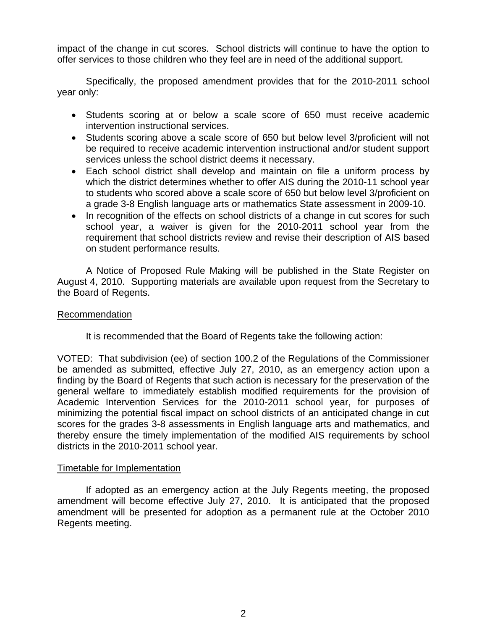impact of the change in cut scores. School districts will continue to have the option to offer services to those children who they feel are in need of the additional support.

 Specifically, the proposed amendment provides that for the 2010-2011 school year only:

- Students scoring at or below a scale score of 650 must receive academic intervention instructional services.
- Students scoring above a scale score of 650 but below level 3/proficient will not be required to receive academic intervention instructional and/or student support services unless the school district deems it necessary.
- Each school district shall develop and maintain on file a uniform process by which the district determines whether to offer AIS during the 2010-11 school year to students who scored above a scale score of 650 but below level 3/proficient on a grade 3-8 English language arts or mathematics State assessment in 2009-10.
- In recognition of the effects on school districts of a change in cut scores for such school year, a waiver is given for the 2010-2011 school year from the requirement that school districts review and revise their description of AIS based on student performance results.

A Notice of Proposed Rule Making will be published in the State Register on August 4, 2010. Supporting materials are available upon request from the Secretary to the Board of Regents.

# Recommendation

It is recommended that the Board of Regents take the following action:

VOTED: That subdivision (ee) of section 100.2 of the Regulations of the Commissioner be amended as submitted, effective July 27, 2010, as an emergency action upon a finding by the Board of Regents that such action is necessary for the preservation of the general welfare to immediately establish modified requirements for the provision of Academic Intervention Services for the 2010-2011 school year, for purposes of minimizing the potential fiscal impact on school districts of an anticipated change in cut scores for the grades 3-8 assessments in English language arts and mathematics, and thereby ensure the timely implementation of the modified AIS requirements by school districts in the 2010-2011 school year.

## Timetable for Implementation

 If adopted as an emergency action at the July Regents meeting, the proposed amendment will become effective July 27, 2010. It is anticipated that the proposed amendment will be presented for adoption as a permanent rule at the October 2010 Regents meeting.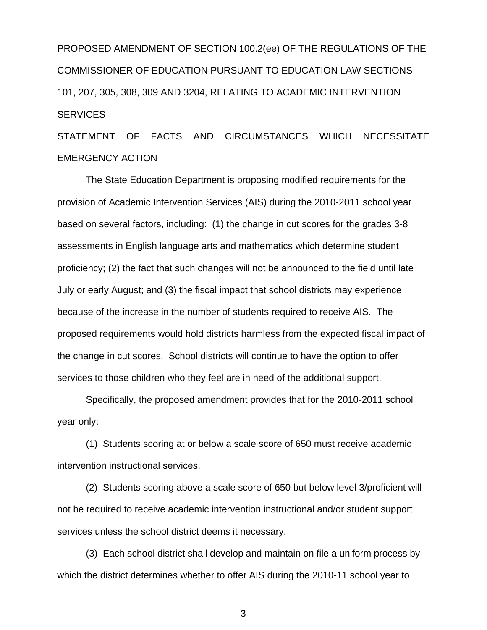PROPOSED AMENDMENT OF SECTION 100.2(ee) OF THE REGULATIONS OF THE COMMISSIONER OF EDUCATION PURSUANT TO EDUCATION LAW SECTIONS 101, 207, 305, 308, 309 AND 3204, RELATING TO ACADEMIC INTERVENTION **SERVICES** 

STATEMENT OF FACTS AND CIRCUMSTANCES WHICH NECESSITATE EMERGENCY ACTION

 The State Education Department is proposing modified requirements for the provision of Academic Intervention Services (AIS) during the 2010-2011 school year based on several factors, including: (1) the change in cut scores for the grades 3-8 assessments in English language arts and mathematics which determine student proficiency; (2) the fact that such changes will not be announced to the field until late July or early August; and (3) the fiscal impact that school districts may experience because of the increase in the number of students required to receive AIS. The proposed requirements would hold districts harmless from the expected fiscal impact of the change in cut scores. School districts will continue to have the option to offer services to those children who they feel are in need of the additional support.

 Specifically, the proposed amendment provides that for the 2010-2011 school year only:

 (1) Students scoring at or below a scale score of 650 must receive academic intervention instructional services.

 (2) Students scoring above a scale score of 650 but below level 3/proficient will not be required to receive academic intervention instructional and/or student support services unless the school district deems it necessary.

 (3) Each school district shall develop and maintain on file a uniform process by which the district determines whether to offer AIS during the 2010-11 school year to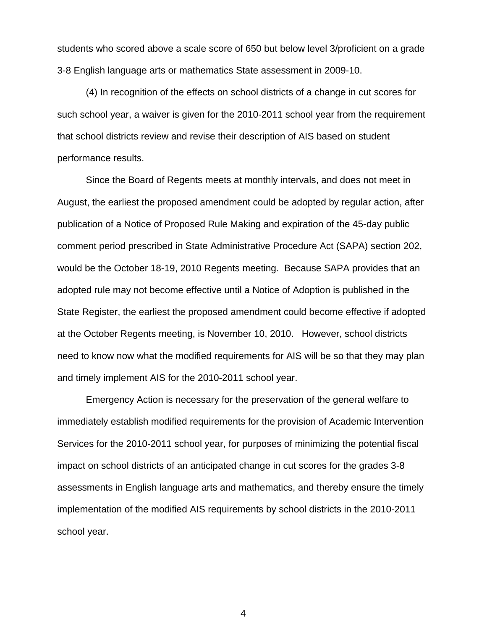students who scored above a scale score of 650 but below level 3/proficient on a grade 3-8 English language arts or mathematics State assessment in 2009-10.

 (4) In recognition of the effects on school districts of a change in cut scores for such school year, a waiver is given for the 2010-2011 school year from the requirement that school districts review and revise their description of AIS based on student performance results.

 Since the Board of Regents meets at monthly intervals, and does not meet in August, the earliest the proposed amendment could be adopted by regular action, after publication of a Notice of Proposed Rule Making and expiration of the 45-day public comment period prescribed in State Administrative Procedure Act (SAPA) section 202, would be the October 18-19, 2010 Regents meeting. Because SAPA provides that an adopted rule may not become effective until a Notice of Adoption is published in the State Register, the earliest the proposed amendment could become effective if adopted at the October Regents meeting, is November 10, 2010. However, school districts need to know now what the modified requirements for AIS will be so that they may plan and timely implement AIS for the 2010-2011 school year.

 Emergency Action is necessary for the preservation of the general welfare to immediately establish modified requirements for the provision of Academic Intervention Services for the 2010-2011 school year, for purposes of minimizing the potential fiscal impact on school districts of an anticipated change in cut scores for the grades 3-8 assessments in English language arts and mathematics, and thereby ensure the timely implementation of the modified AIS requirements by school districts in the 2010-2011 school year.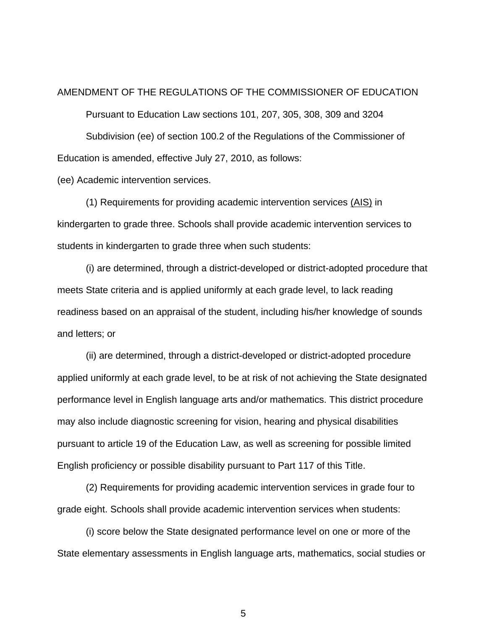#### AMENDMENT OF THE REGULATIONS OF THE COMMISSIONER OF EDUCATION

Pursuant to Education Law sections 101, 207, 305, 308, 309 and 3204

 Subdivision (ee) of section 100.2 of the Regulations of the Commissioner of Education is amended, effective July 27, 2010, as follows:

(ee) Academic intervention services.

 (1) Requirements for providing academic intervention services (AIS) in kindergarten to grade three. Schools shall provide academic intervention services to students in kindergarten to grade three when such students:

 (i) are determined, through a district-developed or district-adopted procedure that meets State criteria and is applied uniformly at each grade level, to lack reading readiness based on an appraisal of the student, including his/her knowledge of sounds and letters; or

 (ii) are determined, through a district-developed or district-adopted procedure applied uniformly at each grade level, to be at risk of not achieving the State designated performance level in English language arts and/or mathematics. This district procedure may also include diagnostic screening for vision, hearing and physical disabilities pursuant to article 19 of the Education Law, as well as screening for possible limited English proficiency or possible disability pursuant to Part 117 of this Title.

 (2) Requirements for providing academic intervention services in grade four to grade eight. Schools shall provide academic intervention services when students:

 (i) score below the State designated performance level on one or more of the State elementary assessments in English language arts, mathematics, social studies or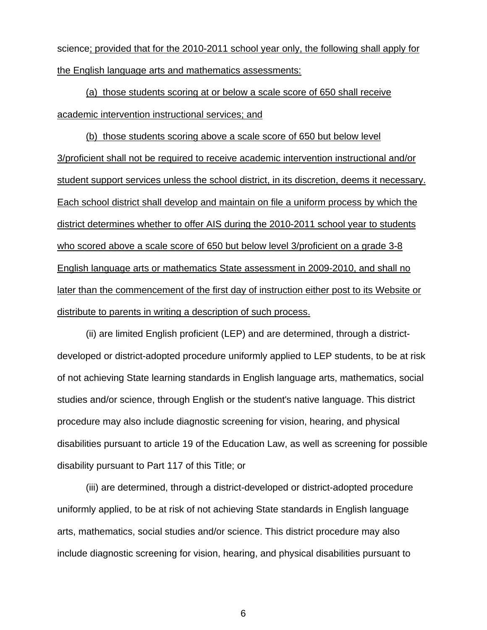science; provided that for the 2010-2011 school year only, the following shall apply for the English language arts and mathematics assessments:

(a) those students scoring at or below a scale score of 650 shall receive academic intervention instructional services; and

(b) those students scoring above a scale score of 650 but below level 3/proficient shall not be required to receive academic intervention instructional and/or student support services unless the school district, in its discretion, deems it necessary. Each school district shall develop and maintain on file a uniform process by which the district determines whether to offer AIS during the 2010-2011 school year to students who scored above a scale score of 650 but below level 3/proficient on a grade 3-8 English language arts or mathematics State assessment in 2009-2010, and shall no later than the commencement of the first day of instruction either post to its Website or distribute to parents in writing a description of such process.

 (ii) are limited English proficient (LEP) and are determined, through a districtdeveloped or district-adopted procedure uniformly applied to LEP students, to be at risk of not achieving State learning standards in English language arts, mathematics, social studies and/or science, through English or the student's native language. This district procedure may also include diagnostic screening for vision, hearing, and physical disabilities pursuant to article 19 of the Education Law, as well as screening for possible disability pursuant to Part 117 of this Title; or

 (iii) are determined, through a district-developed or district-adopted procedure uniformly applied, to be at risk of not achieving State standards in English language arts, mathematics, social studies and/or science. This district procedure may also include diagnostic screening for vision, hearing, and physical disabilities pursuant to